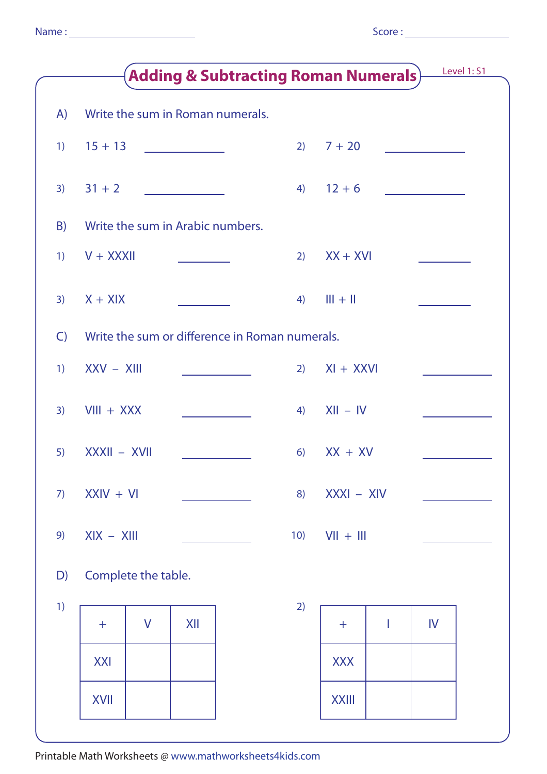|              | Level 1: S1                                    |     |              |    |  |  |  |  |
|--------------|------------------------------------------------|-----|--------------|----|--|--|--|--|
| A)           | Write the sum in Roman numerals.               |     |              |    |  |  |  |  |
| 1)           | $15 + 13$                                      | 2)  | $7 + 20$     |    |  |  |  |  |
| 3)           | $31 + 2$                                       | 4)  | $12 + 6$     |    |  |  |  |  |
| B)           | Write the sum in Arabic numbers.               |     |              |    |  |  |  |  |
| 1)           | $V + XXXII$                                    | 2)  | $XX + XVI$   |    |  |  |  |  |
| 3)           | $X + XIX$                                      | 4)  | $III + II$   |    |  |  |  |  |
| $\mathsf{C}$ | Write the sum or difference in Roman numerals. |     |              |    |  |  |  |  |
| 1)           | $XXV - XIII$                                   | 2)  | $XI + XXVI$  |    |  |  |  |  |
| 3)           | $VIII + XXX$                                   | 4)  | $XII - IV$   |    |  |  |  |  |
| 5)           | XXXII - XVII                                   | 6)  | $XX + XV$    |    |  |  |  |  |
| 7)           | $XXIV + VI$                                    | 8)  | $XXXI - XIV$ |    |  |  |  |  |
| 9)           | $XIX - XIII$                                   | 10) | $V   +    $  |    |  |  |  |  |
| D)           | Complete the table.                            |     |              |    |  |  |  |  |
| 1)           | $\mathsf{V}$<br>XII<br>$\pm$                   | 2)  | I<br>$+$     | IV |  |  |  |  |
|              | <b>XXI</b>                                     |     | <b>XXX</b>   |    |  |  |  |  |
|              | XVII                                           |     | <b>XXIII</b> |    |  |  |  |  |
|              |                                                |     |              |    |  |  |  |  |

Printable Math Worksheets @ www.mathworksheets4kids.com